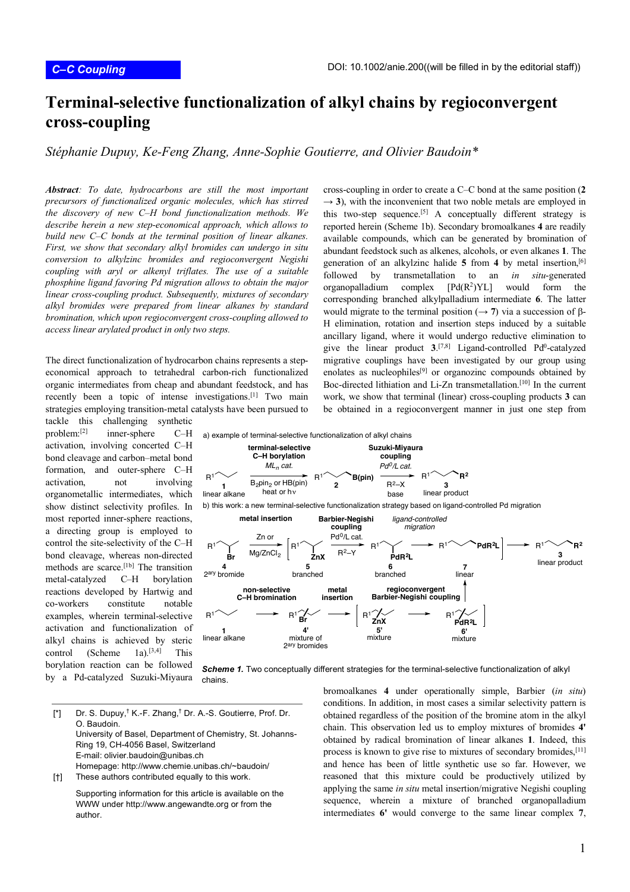## **Terminal-selective functionalization of alkyl chains by regioconvergent cross-coupling**

*Stéphanie Dupuy, Ke-Feng Zhang, Anne-Sophie Goutierre, and Olivier Baudoin\**

*Abstract: To date, hydrocarbons are still the most important precursors of functionalized organic molecules, which has stirred the discovery of new C–H bond functionalization methods. We describe herein a new step-economical approach, which allows to build new C–C bonds at the terminal position of linear alkanes. First, we show that secondary alkyl bromides can undergo in situ conversion to alkylzinc bromides and regioconvergent Negishi coupling with aryl or alkenyl triflates. The use of a suitable phosphine ligand favoring Pd migration allows to obtain the major linear cross-coupling product. Subsequently, mixtures of secondary alkyl bromides were prepared from linear alkanes by standard bromination, which upon regioconvergent cross-coupling allowed to access linear arylated product in only two steps.*

The direct functionalization of hydrocarbon chains represents a stepeconomical approach to tetrahedral carbon-rich functionalized organic intermediates from cheap and abundant feedstock, and has recently been a topic of intense investigations.<sup>[1]</sup> Two main strategies employing transition-metal catalysts have been pursued to

tackle this challenging synthetic problem:[2] inner-sphere C–H activation, involving concerted C–H bond cleavage and carbon–metal bond formation, and outer-sphere C–H activation, not involving organometallic intermediates, which show distinct selectivity profiles. In most reported inner-sphere reactions, a directing group is employed to control the site-selectivity of the C–H bond cleavage, whereas non-directed methods are scarce.[1b] The transition metal-catalyzed C–H borylation reactions developed by Hartwig and co-workers constitute notable examples, wherein terminal-selective activation and functionalization of alkyl chains is achieved by steric control (Scheme 1a).<sup>[3,4]</sup> This borylation reaction can be followed by a Pd-catalyzed Suzuki-Miyaura cross-coupling in order to create a C–C bond at the same position (**2**  $\rightarrow$  3), with the inconvenient that two noble metals are employed in this two-step sequence.[5] A conceptually different strategy is reported herein (Scheme 1b). Secondary bromoalkanes **4** are readily available compounds, which can be generated by bromination of abundant feedstock such as alkenes, alcohols, or even alkanes **1**. The generation of an alkylzinc halide **5** from **4** by metal insertion,[6] followed by transmetallation to an *in situ*-generated organopalladium complex  $[Pd(R^2)YL]$  would form the corresponding branched alkylpalladium intermediate **6**. The latter would migrate to the terminal position ( $\rightarrow$  7) via a succession of  $\beta$ -H elimination, rotation and insertion steps induced by a suitable ancillary ligand, where it would undergo reductive elimination to give the linear product  $3^{7,8}$  Ligand-controlled Pd<sup>0</sup>-catalyzed migrative couplings have been investigated by our group using enolates as nucleophiles<sup>[9]</sup> or organozinc compounds obtained by Boc-directed lithiation and Li-Zn transmetallation.[10] In the current work, we show that terminal (linear) cross-coupling products **3** can be obtained in a regioconvergent manner in just one step from





R1 **ZnX**

**5'** mixture

[\*] Dr. S. Dupuy,† K.-F. Zhang,† Dr. A.-S. Goutierre, Prof. Dr. O. Baudoin. University of Basel, Department of Chemistry, St. Johanns-Ring 19, CH-4056 Basel, Switzerland E-mail: olivier.baudoin@unibas.ch Homepage: http://www.chemie.unibas.ch/~baudoin/

**1** linear alkane

 $R^{1'} \vee \longrightarrow R^{1}$ 

**Br**

**4'** mixture of 2ary bromides

[†] These authors contributed equally to this work.

Supporting information for this article is available on the WWW under http://www.angewandte.org or from the author.

bromoalkanes **4** under operationally simple, Barbier (*in situ*) conditions. In addition, in most cases a similar selectivity pattern is obtained regardless of the position of the bromine atom in the alkyl chain. This observation led us to employ mixtures of bromides **4'** obtained by radical bromination of linear alkanes **1**. Indeed, this process is known to give rise to mixtures of secondary bromides,[11] and hence has been of little synthetic use so far. However, we reasoned that this mixture could be productively utilized by applying the same *in situ* metal insertion/migrative Negishi coupling sequence, wherein a mixture of branched organopalladium intermediates **6'** would converge to the same linear complex **7**,

 $R<sup>1</sup>$ **PdR2L 6'** mixture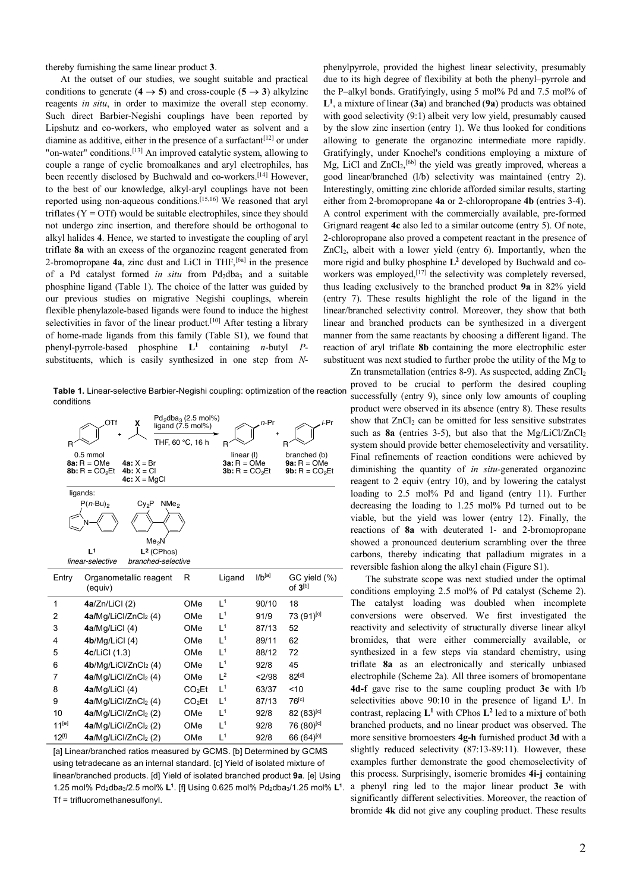thereby furnishing the same linear product **3**.

At the outset of our studies, we sought suitable and practical conditions to generate ( $4 \rightarrow 5$ ) and cross-couple ( $5 \rightarrow 3$ ) alkylzinc reagents *in situ*, in order to maximize the overall step economy. Such direct Barbier-Negishi couplings have been reported by Lipshutz and co-workers, who employed water as solvent and a diamine as additive, either in the presence of a surfactant  $[12]$  or under "on-water" conditions.[13] An improved catalytic system, allowing to couple a range of cyclic bromoalkanes and aryl electrophiles, has been recently disclosed by Buchwald and co-workers.[14] However, to the best of our knowledge, alkyl-aryl couplings have not been reported using non-aqueous conditions.[15,16] We reasoned that aryl triflates ( $Y = \text{OTf}$ ) would be suitable electrophiles, since they should not undergo zinc insertion, and therefore should be orthogonal to alkyl halides **4**. Hence, we started to investigate the coupling of aryl triflate **8a** with an excess of the organozinc reagent generated from 2-bromopropane  $4a$ , zinc dust and LiCl in THF,  $[6a]$  in the presence of a Pd catalyst formed *in situ* from Pd<sub>2</sub>dba<sub>3</sub> and a suitable phosphine ligand (Table 1). The choice of the latter was guided by our previous studies on migrative Negishi couplings, wherein flexible phenylazole-based ligands were found to induce the highest selectivities in favor of the linear product.<sup>[10]</sup> After testing a library of home-made ligands from this family (Table S1), we found that phenyl-pyrrole-based phosphine **L1** containing *n*-butyl *P*substituents, which is easily synthesized in one step from *N*-

**Table 1.** Linear-selective Barbier-Negishi coupling: optimization of the reaction conditions

| OTf<br>х                                                                                         | $Pd_2dba_3$ (2.5 mol%)<br>ligand (7.5 mol%)             |                                                | n-Pr        | i-Pr                                             |
|--------------------------------------------------------------------------------------------------|---------------------------------------------------------|------------------------------------------------|-------------|--------------------------------------------------|
|                                                                                                  | THF, 60 °C, 16 h                                        | R                                              |             | R                                                |
| $0.5$ mmol<br>$8a: R = OMe$<br>$4a: X = Br$<br>$4b: X = C1$<br>$8b: R = CO2Et$<br>$4c: X = MgCl$ |                                                         | linear (I)<br>$3a: R = OMe$<br>$3b: R = CO2Et$ |             | branched (b)<br>$9a: R = OMe$<br>$9b: R = CO2Et$ |
| ligands:                                                                                         |                                                         |                                                |             |                                                  |
| $P(n-Bu)_2$<br>NMe <sub>2</sub><br>Cy <sub>2</sub> P                                             |                                                         |                                                |             |                                                  |
|                                                                                                  |                                                         |                                                |             |                                                  |
| j 1<br>linear-selective                                                                          | Me <sub>2</sub> N<br>$L2$ (CPhos)<br>branched-selective |                                                |             |                                                  |
| Entry<br>Organometallic reagent<br>(equiv)                                                       | R                                                       | Ligand                                         | $1/b^{[a]}$ | GC yield (%)<br>of $3^{[b]}$                     |
| 1<br>4a/Zn/LiCl(2)                                                                               | OMe                                                     | 1 <sup>1</sup>                                 | 90/10       | 18                                               |
| 4a/Mg/LiCl/ZnCl <sub>2</sub> (4)<br>2                                                            | OMe                                                     | 1 <sup>1</sup>                                 | 91/9        | 73 (91) <sup>[c]</sup>                           |
| 4a/Mg/LiCl (4)<br>3                                                                              | OMe                                                     | 1 <sup>1</sup>                                 | 87/13       | 52                                               |
| 4<br>4b/Mg/LiCl(4)                                                                               | OMe                                                     | $\mathsf{I}^1$                                 | 89/11       | 62                                               |
| 4c/LiCl (1.3)<br>5                                                                               | OMe                                                     | $\mathsf{I}^1$                                 | 88/12       | 72                                               |
| 4b/Mg/LiCl/ZnCl <sub>2</sub> (4)<br>6                                                            | OMe                                                     | 1 <sup>1</sup>                                 | 92/8        | 45                                               |
| 4a/Mg/LiCl/ZnCl <sub>2</sub> (4)<br>7                                                            | OMe                                                     | 1 <sup>2</sup>                                 | <2/98       | $82^{[d]}$                                       |
| 8<br>$4a/Mg/LiCl$ (4)                                                                            | CO <sub>2</sub> Et                                      | 1 <sup>1</sup>                                 | 63/37       | 10                                               |
| 4a/Mq/LiCl/ZnCl <sub>2</sub> (4)<br>9                                                            | CO <sub>2</sub> Et                                      | $L^1$                                          | 87/13       | $76^{[c]}$                                       |
| 10<br>4a/Mg/LiCl/ZnCl <sub>2</sub> (2)                                                           | OMe                                                     | $\mathsf{I}^1$                                 | 92/8        | $82(83)^{[c]}$                                   |
| $11^{[e]}$<br>4a/Mg/LiCl/ZnCl2 (2)                                                               | OMe                                                     | 1 <sup>1</sup>                                 | 92/8        | 76 (80) <sup>[c]</sup>                           |
| $12^{[f]}$<br>4a/Mg/LiCl/ZnCl <sub>2</sub> (2)                                                   | OMe                                                     | $L^1$                                          | 92/8        | 66 (64) <sup>[c]</sup>                           |

[a] Linear/branched ratios measured by GCMS. [b] Determined by GCMS using tetradecane as an internal standard. [c] Yield of isolated mixture of linear/branched products. [d] Yield of isolated branched product **9a**. [e] Using 1.25 mol% Pd<sub>2</sub>dba<sub>3</sub>/2.5 mol% L<sup>1</sup>. [f] Using 0.625 mol% Pd<sub>2</sub>dba<sub>3</sub>/1.25 mol% L<sup>1</sup>. Tf = trifluoromethanesulfonyl.

phenylpyrrole, provided the highest linear selectivity, presumably due to its high degree of flexibility at both the phenyl–pyrrole and the P–alkyl bonds. Gratifyingly, using 5 mol% Pd and 7.5 mol% of **L1**, a mixture of linear (**3a**) and branched (**9a**) products was obtained with good selectivity (9:1) albeit very low yield, presumably caused by the slow zinc insertion (entry 1). We thus looked for conditions allowing to generate the organozinc intermediate more rapidly. Gratifyingly, under Knochel's conditions employing a mixture of Mg, LiCl and ZnCl<sub>2</sub>,<sup>[6b]</sup> the yield was greatly improved, whereas a good linear/branched (l/b) selectivity was maintained (entry 2). Interestingly, omitting zinc chloride afforded similar results, starting either from 2-bromopropane **4a** or 2-chloropropane **4b** (entries 3-4). A control experiment with the commercially available, pre-formed Grignard reagent **4c** also led to a similar outcome (entry 5). Of note, 2-chloropropane also proved a competent reactant in the presence of  $ZnCl<sub>2</sub>$ , albeit with a lower yield (entry 6). Importantly, when the more rigid and bulky phosphine **L2** developed by Buchwald and coworkers was employed,<sup>[17]</sup> the selectivity was completely reversed, thus leading exclusively to the branched product **9a** in 82% yield (entry 7). These results highlight the role of the ligand in the linear/branched selectivity control. Moreover, they show that both linear and branched products can be synthesized in a divergent manner from the same reactants by choosing a different ligand. The reaction of aryl triflate **8b** containing the more electrophilic ester substituent was next studied to further probe the utility of the Mg to

Zn transmetallation (entries 8-9). As suspected, adding  $ZnCl<sub>2</sub>$ proved to be crucial to perform the desired coupling successfully (entry 9), since only low amounts of coupling product were observed in its absence (entry 8). These results show that  $ZnCl<sub>2</sub>$  can be omitted for less sensitive substrates such as **8a** (entries 3-5), but also that the Mg/LiCl/ZnCl<sub>2</sub> system should provide better chemoselectivity and versatility. Final refinements of reaction conditions were achieved by diminishing the quantity of *in situ*-generated organozinc reagent to 2 equiv (entry 10), and by lowering the catalyst loading to 2.5 mol% Pd and ligand (entry 11). Further decreasing the loading to 1.25 mol% Pd turned out to be viable, but the yield was lower (entry 12). Finally, the reactions of **8a** with deuterated 1- and 2-bromopropane showed a pronounced deuterium scrambling over the three carbons, thereby indicating that palladium migrates in a reversible fashion along the alkyl chain (Figure S1).

The substrate scope was next studied under the optimal conditions employing 2.5 mol% of Pd catalyst (Scheme 2). The catalyst loading was doubled when incomplete conversions were observed. We first investigated the reactivity and selectivity of structurally diverse linear alkyl bromides, that were either commercially available, or synthesized in a few steps via standard chemistry, using triflate **8a** as an electronically and sterically unbiased electrophile (Scheme 2a). All three isomers of bromopentane **4d-f** gave rise to the same coupling product **3c** with l/b selectivities above  $90:10$  in the presence of ligand  $L<sup>1</sup>$ . In contrast, replacing **L1** with CPhos **L2** led to a mixture of both branched products, and no linear product was observed. The more sensitive bromoesters **4g-h** furnished product **3d** with a slightly reduced selectivity (87:13-89:11). However, these examples further demonstrate the good chemoselectivity of this process. Surprisingly, isomeric bromides **4i-j** containing a phenyl ring led to the major linear product **3e** with significantly different selectivities. Moreover, the reaction of bromide **4k** did not give any coupling product. These results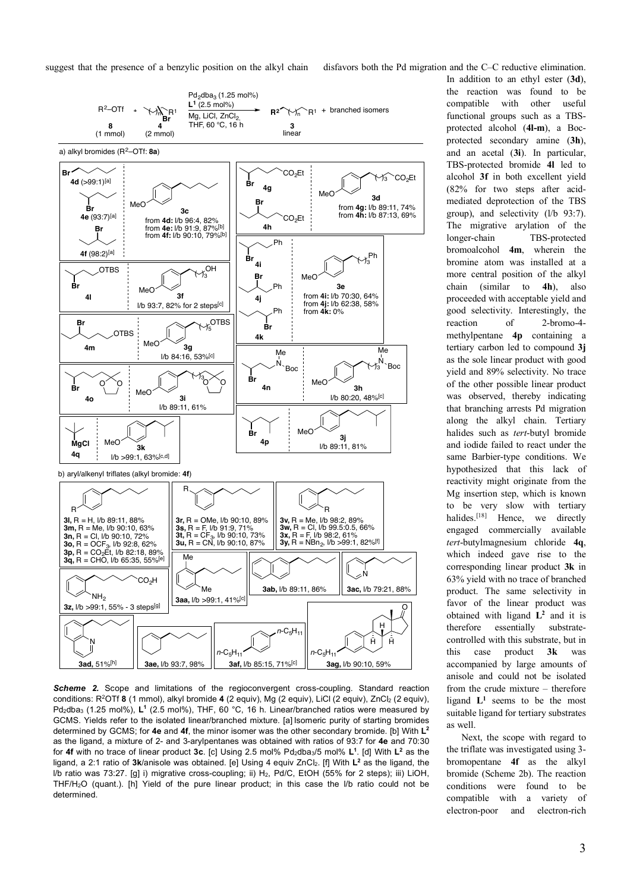suggest that the presence of a benzylic position on the alkyl chain disfavors both the Pd migration and the C–C reductive elimination.



*Scheme 2.* Scope and limitations of the regioconvergent cross-coupling. Standard reaction conditions: R<sup>2</sup>OTf 8 (1 mmol), alkyl bromide 4 (2 equiv), Mg (2 equiv), LiCl (2 equiv), ZnCl2 (2 equiv), Pd<sub>2</sub>dba<sub>3</sub> (1.25 mol%), L<sup>1</sup> (2.5 mol%), THF, 60 °C, 16 h. Linear/branched ratios were measured by GCMS. Yields refer to the isolated linear/branched mixture. [a] Isomeric purity of starting bromides determined by GCMS; for **4e** and **4f**, the minor isomer was the other secondary bromide. [b] With **L2** as the ligand, a mixture of 2- and 3-arylpentanes was obtained with ratios of 93:7 for **4e** and 70:30 for 4f with no trace of linear product 3c. [c] Using 2.5 mol% Pd<sub>2</sub>dba<sub>3</sub>/5 mol% L<sup>1</sup>. [d] With L<sup>2</sup> as the ligand, a 2:1 ratio of **3k**/anisole was obtained. [e] Using 4 equiv ZnCl2. [f] With **L2** as the ligand, the l/b ratio was 73:27. [g] i) migrative cross-coupling; ii) H<sub>2</sub>, Pd/C, EtOH (55% for 2 steps); iii) LiOH, THF/H2O (quant.). [h] Yield of the pure linear product; in this case the l/b ratio could not be determined.

In addition to an ethyl ester (**3d**), the reaction was found to be compatible with other useful functional groups such as a TBSprotected alcohol (**4l-m**), a Bocprotected secondary amine (**3h**), and an acetal (**3i**). In particular, TBS-protected bromide **4l** led to alcohol **3f** in both excellent yield (82% for two steps after acidmediated deprotection of the TBS group), and selectivity (l/b 93:7). The migrative arylation of the longer-chain TBS-protected bromoalcohol **4m**, wherein the bromine atom was installed at a more central position of the alkyl chain (similar to **4h**), also proceeded with acceptable yield and good selectivity. Interestingly, the reaction of 2-bromo-4 methylpentane **4p** containing a tertiary carbon led to compound **3j** as the sole linear product with good yield and 89% selectivity. No trace of the other possible linear product was observed, thereby indicating that branching arrests Pd migration along the alkyl chain. Tertiary halides such as *tert*-butyl bromide and iodide failed to react under the same Barbier-type conditions. We hypothesized that this lack of reactivity might originate from the Mg insertion step, which is known to be very slow with tertiary halides<sup>[18]</sup> Hence, we directly engaged commercially available *tert*-butylmagnesium chloride **4q**, which indeed gave rise to the corresponding linear product **3k** in 63% yield with no trace of branched product. The same selectivity in favor of the linear product was obtained with ligand  $L^2$  and it is therefore essentially substratecontrolled with this substrate, but in this case product **3k** was accompanied by large amounts of anisole and could not be isolated from the crude mixture – therefore ligand  $L<sup>1</sup>$  seems to be the most suitable ligand for tertiary substrates as well.

Next, the scope with regard to the triflate was investigated using 3 bromopentane **4f** as the alkyl bromide (Scheme 2b). The reaction conditions were found to be compatible with a variety of electron-poor and electron-rich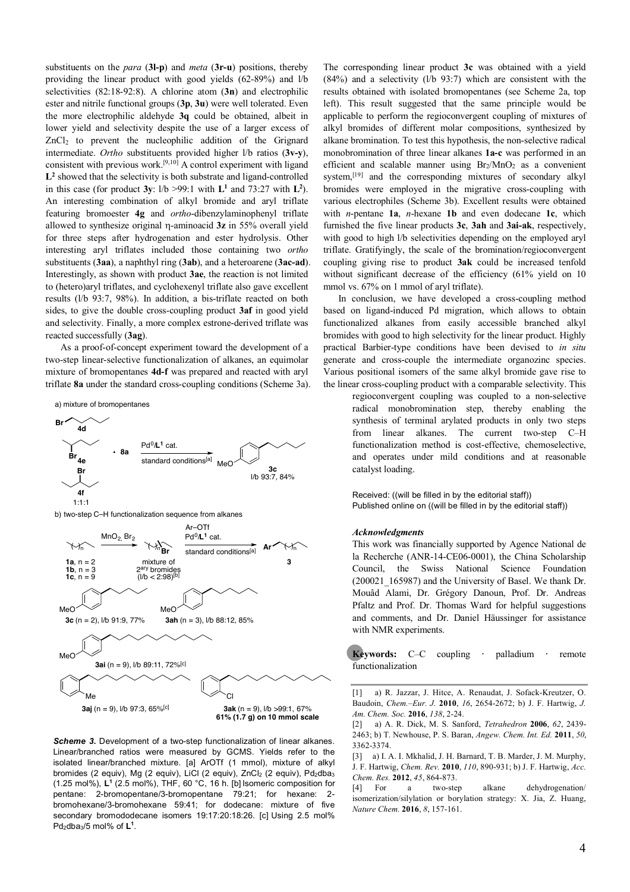substituents on the *para* (**3l-p**) and *meta* (**3r-u**) positions, thereby providing the linear product with good yields (62-89%) and l/b selectivities (82:18-92:8). A chlorine atom (**3n**) and electrophilic ester and nitrile functional groups (**3p**, **3u**) were well tolerated. Even the more electrophilic aldehyde **3q** could be obtained, albeit in lower yield and selectivity despite the use of a larger excess of ZnCl2 to prevent the nucleophilic addition of the Grignard intermediate. *Ortho* substituents provided higher l/b ratios (**3v-y**), consistent with previous work.<sup>[9,10]</sup> A control experiment with ligand **L2** showed that the selectivity is both substrate and ligand-controlled in this case (for product  $3y$ :  $1/b > 99$ :1 with  $L^1$  and 73:27 with  $L^2$ ). An interesting combination of alkyl bromide and aryl triflate featuring bromoester **4g** and *ortho*-dibenzylaminophenyl triflate allowed to synthesize original h-aminoacid **3z** in 55% overall yield for three steps after hydrogenation and ester hydrolysis. Other interesting aryl triflates included those containing two *ortho* substituents (**3aa**), a naphthyl ring (**3ab**), and a heteroarene (**3ac-ad**). Interestingly, as shown with product **3ae**, the reaction is not limited to (hetero)aryl triflates, and cyclohexenyl triflate also gave excellent results (l/b 93:7, 98%). In addition, a bis-triflate reacted on both sides, to give the double cross-coupling product **3af** in good yield and selectivity. Finally, a more complex estrone-derived triflate was reacted successfully (**3ag**).

As a proof-of-concept experiment toward the development of a two-step linear-selective functionalization of alkanes, an equimolar mixture of bromopentanes **4d-f** was prepared and reacted with aryl triflate **8a** under the standard cross-coupling conditions (Scheme 3a).



**3aj** (n = 9), l/b 97:3, 65%[c]

**Scheme 3.** Development of a two-step functionalization of linear alkanes. Linear/branched ratios were measured by GCMS. Yields refer to the isolated linear/branched mixture. [a] ArOTf (1 mmol), mixture of alkyl bromides (2 equiv), Mg (2 equiv), LiCl (2 equiv), ZnCl<sub>2</sub> (2 equiv), Pd<sub>2</sub>dba<sub>3</sub> (1.25 mol%), **L1** (2.5 mol%), THF, 60 °C, 16 h. [b] Isomeric composition for pentane: 2-bromopentane/3-bromopentane 79:21; for hexane: 2 bromohexane/3-bromohexane 59:41; for dodecane: mixture of five secondary bromododecane isomers 19:17:20:18:26. [c] Using 2.5 mol% Pd<sub>2</sub>dba<sub>3</sub>/5 mol% of L<sup>1</sup>.

The corresponding linear product **3c** was obtained with a yield (84%) and a selectivity (l/b 93:7) which are consistent with the results obtained with isolated bromopentanes (see Scheme 2a, top left). This result suggested that the same principle would be applicable to perform the regioconvergent coupling of mixtures of alkyl bromides of different molar compositions, synthesized by alkane bromination. To test this hypothesis, the non-selective radical monobromination of three linear alkanes **1a-c** was performed in an efficient and scalable manner using  $Br<sub>2</sub>/MnO<sub>2</sub>$  as a convenient system,[19] and the corresponding mixtures of secondary alkyl bromides were employed in the migrative cross-coupling with various electrophiles (Scheme 3b). Excellent results were obtained with *n*-pentane **1a**, *n*-hexane **1b** and even dodecane **1c**, which furnished the five linear products **3c**, **3ah** and **3ai-ak**, respectively, with good to high l/b selectivities depending on the employed aryl triflate. Gratifyingly, the scale of the bromination/regioconvergent coupling giving rise to product **3ak** could be increased tenfold without significant decrease of the efficiency (61% yield on 10 mmol vs. 67% on 1 mmol of aryl triflate).

In conclusion, we have developed a cross-coupling method based on ligand-induced Pd migration, which allows to obtain functionalized alkanes from easily accessible branched alkyl bromides with good to high selectivity for the linear product. Highly practical Barbier-type conditions have been devised to *in situ* generate and cross-couple the intermediate organozinc species. Various positional isomers of the same alkyl bromide gave rise to the linear cross-coupling product with a comparable selectivity. This

> regioconvergent coupling was coupled to a non-selective radical monobromination step, thereby enabling the synthesis of terminal arylated products in only two steps from linear alkanes. The current two-step C–H functionalization method is cost-effective, chemoselective, and operates under mild conditions and at reasonable catalyst loading.

Received: ((will be filled in by the editorial staff)) Published online on ((will be filled in by the editorial staff))

## *Acknowledgments*

This work was financially supported by Agence National de la Recherche (ANR-14-CE06-0001), the China Scholarship Council, the Swiss National Science Foundation (200021\_165987) and the University of Basel. We thank Dr. Mouâd Alami, Dr. Grégory Danoun, Prof. Dr. Andreas Pfaltz and Prof. Dr. Thomas Ward for helpful suggestions and comments, and Dr. Daniel Häussinger for assistance with NMR experiments.

**Keywords:** C–C coupling **·** palladium **·** remote functionalization

[1] a) R. Jazzar, J. Hitce, A. Renaudat, J. Sofack-Kreutzer, O. Baudoin, *Chem.–Eur. J.* **2010**, *16*, 2654-2672; b) J. F. Hartwig, *J. Am. Chem. Soc.* **2016**, *138*, 2-24.

[2] a) A. R. Dick, M. S. Sanford, *Tetrahedron* **2006**, *62*, 2439- 2463; b) T. Newhouse, P. S. Baran, *Angew. Chem. Int. Ed.* **2011**, *50*, 3362-3374.

[3] a) I. A. I. Mkhalid, J. H. Barnard, T. B. Marder, J. M. Murphy, J. F. Hartwig, *Chem. Rev.* **2010**, *110*, 890-931; b) J. F. Hartwig, *Acc. Chem. Res.* **2012**, *45*, 864-873.

[4] For a two-step alkane dehydrogenation/ isomerization/silylation or borylation strategy: X. Jia, Z. Huang, *Nature Chem.* **2016**, *8*, 157-161.

**<sup>3</sup>ak** (n = 9), l/b >99:1, 67% **61% (1.7 g) on 10 mmol scale**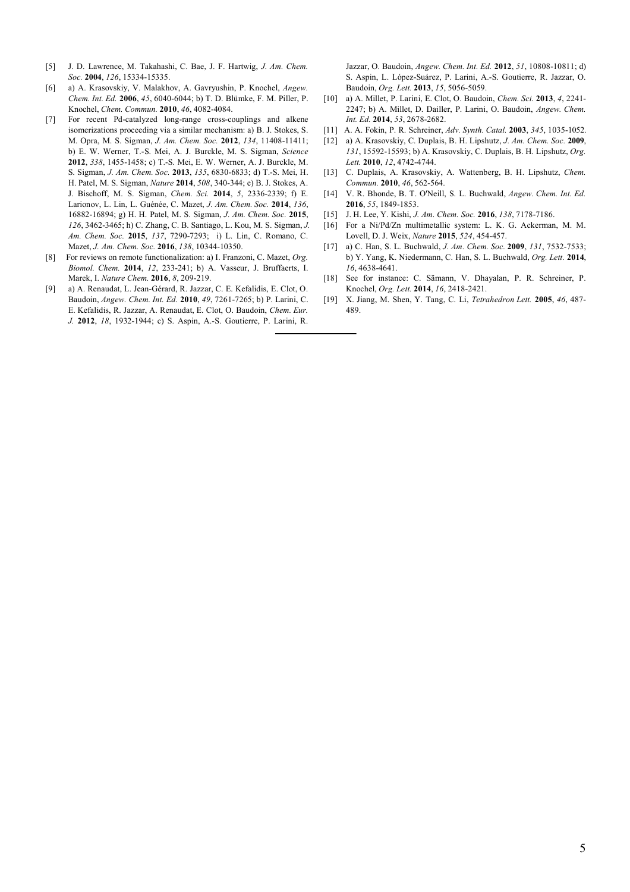- [5] J. D. Lawrence, M. Takahashi, C. Bae, J. F. Hartwig, *J. Am. Chem. Soc.* **2004**, *126*, 15334-15335.
- [6] a) A. Krasovskiy, V. Malakhov, A. Gavryushin, P. Knochel, *Angew. Chem. Int. Ed.* **2006**, *45*, 6040-6044; b) T. D. Blümke, F. M. Piller, P. Knochel, *Chem. Commun.* **2010**, *46*, 4082-4084.
- [7] For recent Pd-catalyzed long-range cross-couplings and alkene isomerizations proceeding via a similar mechanism: a) B. J. Stokes, S. M. Opra, M. S. Sigman, *J. Am. Chem. Soc.* **2012**, *134*, 11408-11411; b) E. W. Werner, T.-S. Mei, A. J. Burckle, M. S. Sigman, *Science* **2012**, *338*, 1455-1458; c) T.-S. Mei, E. W. Werner, A. J. Burckle, M. S. Sigman, *J. Am. Chem. Soc.* **2013**, *135*, 6830-6833; d) T.-S. Mei, H. H. Patel, M. S. Sigman, *Nature* **2014**, *508*, 340-344; e) B. J. Stokes, A. J. Bischoff, M. S. Sigman, *Chem. Sci.* **2014**, *5*, 2336-2339; f) E. Larionov, L. Lin, L. Guénée, C. Mazet, *J. Am. Chem. Soc.* **2014**, *136*, 16882-16894; g) H. H. Patel, M. S. Sigman, *J. Am. Chem. Soc.* **2015**, *126*, 3462-3465; h) C. Zhang, C. B. Santiago, L. Kou, M. S. Sigman, *J. Am. Chem. Soc.* **2015**, *137*, 7290-7293; i) L. Lin, C. Romano, C. Mazet, *J. Am. Chem. Soc.* **2016**, *138*, 10344-10350.
- [8] For reviews on remote functionalization: a) I. Franzoni, C. Mazet, *Org. Biomol. Chem.* **2014**, *12*, 233-241; b) A. Vasseur, J. Bruffaerts, I. Marek, I. *Nature Chem.* **2016**, *8*, 209-219.
- [9] a) A. Renaudat, L. Jean-Gérard, R. Jazzar, C. E. Kefalidis, E. Clot, O. Baudoin, *Angew. Chem. Int. Ed.* **2010**, *49*, 7261-7265; b) P. Larini, C. E. Kefalidis, R. Jazzar, A. Renaudat, E. Clot, O. Baudoin, *Chem. Eur. J.* **2012**, *18*, 1932-1944; c) S. Aspin, A.-S. Goutierre, P. Larini, R.

Jazzar, O. Baudoin, *Angew. Chem. Int. Ed.* **2012**, *51*, 10808-10811; d) S. Aspin, L. López-Suárez, P. Larini, A.-S. Goutierre, R. Jazzar, O. Baudoin, *Org. Lett.* **2013**, *15*, 5056-5059.

- [10] a) A. Millet, P. Larini, E. Clot, O. Baudoin, *Chem. Sci.* **2013**, *4*, 2241- 2247; b) A. Millet, D. Dailler, P. Larini, O. Baudoin, *Angew. Chem. Int. Ed.* **2014**, *53*, 2678-2682.
- [11] A. A. Fokin, P. R. Schreiner, *Adv. Synth. Catal.* **2003**, *345*, 1035-1052.
- [12] a) A. Krasovskiy, C. Duplais, B. H. Lipshutz, *J. Am. Chem. Soc.* **2009**, *131*, 15592-15593; b) A. Krasovskiy, C. Duplais, B. H. Lipshutz, *Org. Lett.* **2010**, *12*, 4742-4744.
- [13] C. Duplais, A. Krasovskiy, A. Wattenberg, B. H. Lipshutz, *Chem. Commun.* **2010**, *46*, 562-564.
- [14] V. R. Bhonde, B. T. O'Neill, S. L. Buchwald, *Angew. Chem. Int. Ed.* **2016**, *55*, 1849-1853.
- [15] J. H. Lee, Y. Kishi, *J. Am. Chem. Soc.* **2016**, *138*, 7178-7186.
- [16] For a Ni/Pd/Zn multimetallic system: L. K. G. Ackerman, M. M. Lovell, D. J. Weix, *Nature* **2015**, *524*, 454-457.
- [17] a) C. Han, S. L. Buchwald, *J. Am. Chem. Soc.* **2009**, *131*, 7532-7533; b) Y. Yang, K. Niedermann, C. Han, S. L. Buchwald, *Org. Lett.* **2014**, *16*, 4638-4641.
- [18] See for instance: C. Sämann, V. Dhayalan, P. R. Schreiner, P. Knochel, *Org. Lett.* **2014**, *16*, 2418-2421.
- [19] X. Jiang, M. Shen, Y. Tang, C. Li, *Tetrahedron Lett.* **2005**, *46*, 487- 489.